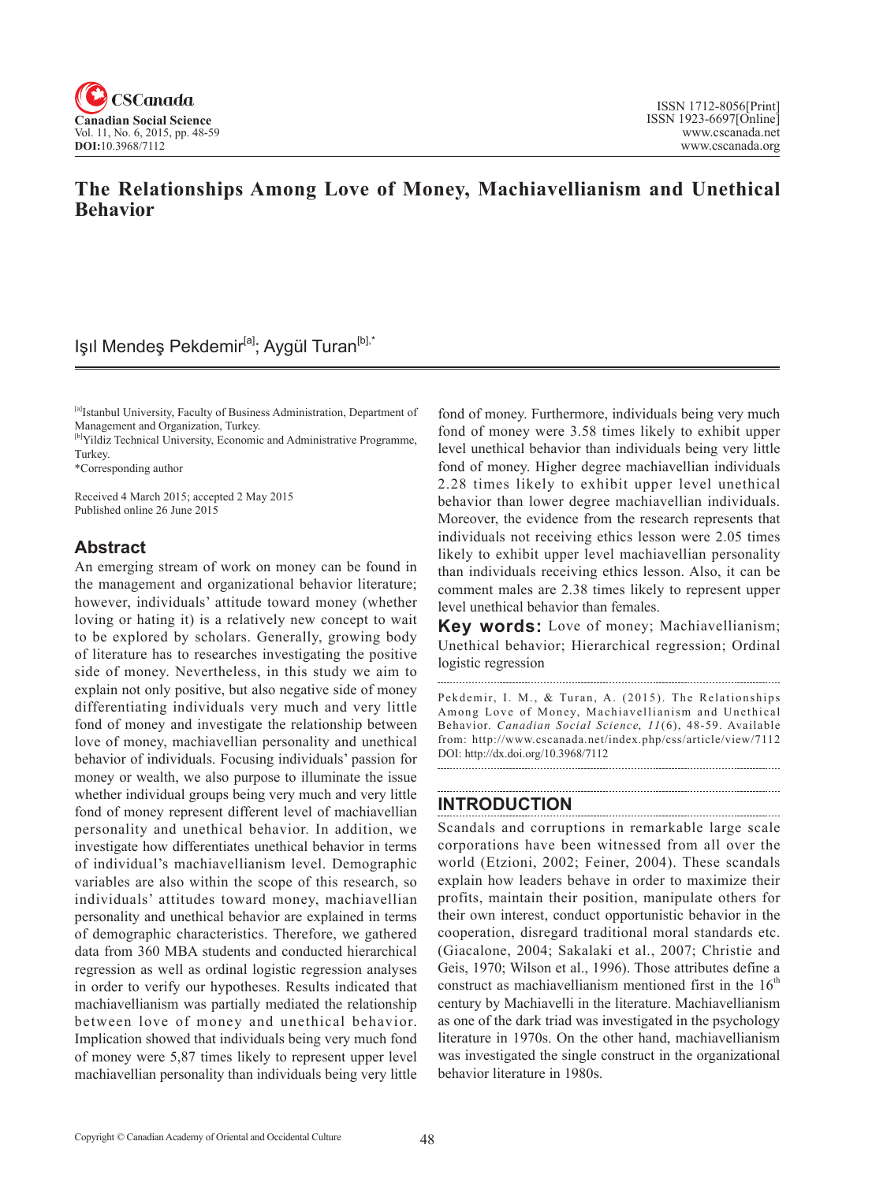

# **The Relationships Among Love of Money, Machiavellianism and Unethical Behavior**

# Işıl Mendeş Pekdemir<sup>[a]</sup>; Aygül Turan<sup>[b],\*</sup>

[a]Istanbul University, Faculty of Business Administration, Department of Management and Organization, Turkey.

[b]Yildiz Technical University, Economic and Administrative Programme, Turkey.

\*Corresponding author

Received 4 March 2015; accepted 2 May 2015 Published online 26 June 2015

## **Abstract**

An emerging stream of work on money can be found in the management and organizational behavior literature; however, individuals' attitude toward money (whether loving or hating it) is a relatively new concept to wait to be explored by scholars. Generally, growing body of literature has to researches investigating the positive side of money. Nevertheless, in this study we aim to explain not only positive, but also negative side of money differentiating individuals very much and very little fond of money and investigate the relationship between love of money, machiavellian personality and unethical behavior of individuals. Focusing individuals' passion for money or wealth, we also purpose to illuminate the issue whether individual groups being very much and very little fond of money represent different level of machiavellian personality and unethical behavior. In addition, we investigate how differentiates unethical behavior in terms of individual's machiavellianism level. Demographic variables are also within the scope of this research, so individuals' attitudes toward money, machiavellian personality and unethical behavior are explained in terms of demographic characteristics. Therefore, we gathered data from 360 MBA students and conducted hierarchical regression as well as ordinal logistic regression analyses in order to verify our hypotheses. Results indicated that machiavellianism was partially mediated the relationship between love of money and unethical behavior. Implication showed that individuals being very much fond of money were 5,87 times likely to represent upper level machiavellian personality than individuals being very little

fond of money. Furthermore, individuals being very much fond of money were 3.58 times likely to exhibit upper level unethical behavior than individuals being very little fond of money. Higher degree machiavellian individuals 2.28 times likely to exhibit upper level unethical behavior than lower degree machiavellian individuals. Moreover, the evidence from the research represents that individuals not receiving ethics lesson were 2.05 times likely to exhibit upper level machiavellian personality than individuals receiving ethics lesson. Also, it can be comment males are 2.38 times likely to represent upper level unethical behavior than females.

**Key words:** Love of money; Machiavellianism; Unethical behavior; Hierarchical regression; Ordinal logistic regression

Pekdemir, I. M., & Turan, A. (2015). The Relationships Among Love of Money, Machiavellianism and Unethical Behavior. *Canadian Social Science*, 11(6), 48-59. Available from: http://www.cscanada.net/index.php/css/article/view/7112 DOI: http://dx.doi.org/10.3968/7112

## **INTRODUCTION**

Scandals and corruptions in remarkable large scale corporations have been witnessed from all over the world (Etzioni, 2002; Feiner, 2004). These scandals explain how leaders behave in order to maximize their profits, maintain their position, manipulate others for their own interest, conduct opportunistic behavior in the cooperation, disregard traditional moral standards etc. (Giacalone, 2004; Sakalaki et al., 2007; Christie and Geis, 1970; Wilson et al., 1996). Those attributes define a construct as machiavellianism mentioned first in the  $16<sup>th</sup>$ century by Machiavelli in the literature. Machiavellianism as one of the dark triad was investigated in the psychology literature in 1970s. On the other hand, machiavellianism was investigated the single construct in the organizational behavior literature in 1980s.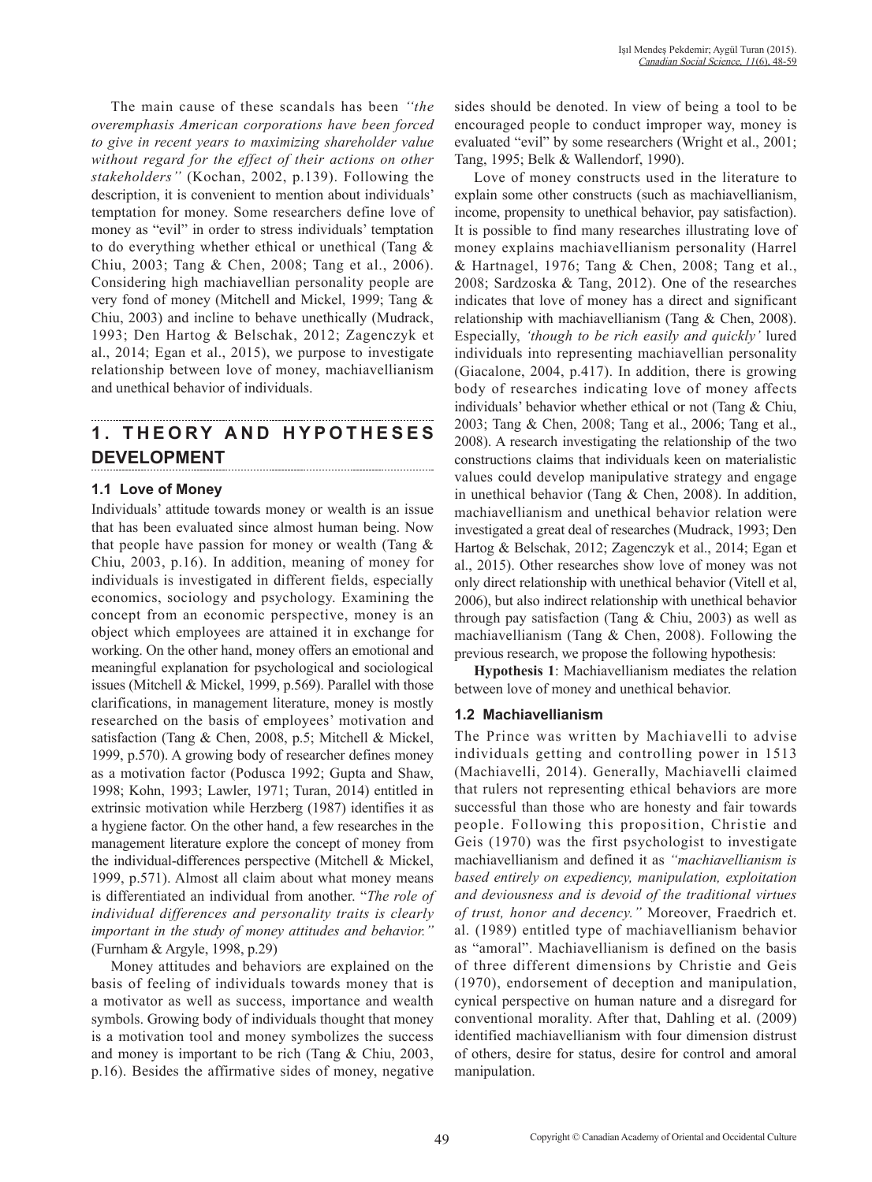The main cause of these scandals has been *''the overemphasis American corporations have been forced to give in recent years to maximizing shareholder value without regard for the effect of their actions on other stakeholders''* (Kochan, 2002, p.139). Following the description, it is convenient to mention about individuals' temptation for money. Some researchers define love of money as "evil" in order to stress individuals' temptation to do everything whether ethical or unethical (Tang & Chiu, 2003; Tang & Chen, 2008; Tang et al., 2006). Considering high machiavellian personality people are very fond of money (Mitchell and Mickel, 1999; Tang & Chiu, 2003) and incline to behave unethically (Mudrack, 1993; Den Hartog & Belschak, 2012; Zagenczyk et al., 2014; Egan et al., 2015), we purpose to investigate relationship between love of money, machiavellianism and unethical behavior of individuals.

# **1 . T H E O R Y A N D H Y P O T H E S E S DEVELOPMENT**

### **1.1 Love of Money**

Individuals' attitude towards money or wealth is an issue that has been evaluated since almost human being. Now that people have passion for money or wealth (Tang  $\&$ Chiu, 2003, p.16). In addition, meaning of money for individuals is investigated in different fields, especially economics, sociology and psychology. Examining the concept from an economic perspective, money is an object which employees are attained it in exchange for working. On the other hand, money offers an emotional and meaningful explanation for psychological and sociological issues (Mitchell & Mickel, 1999, p.569). Parallel with those clarifications, in management literature, money is mostly researched on the basis of employees' motivation and satisfaction (Tang & Chen, 2008, p.5; Mitchell & Mickel, 1999, p.570). A growing body of researcher defines money as a motivation factor (Podusca 1992; Gupta and Shaw, 1998; Kohn, 1993; Lawler, 1971; Turan, 2014) entitled in extrinsic motivation while Herzberg (1987) identifies it as a hygiene factor. On the other hand, a few researches in the management literature explore the concept of money from the individual-differences perspective (Mitchell & Mickel, 1999, p.571). Almost all claim about what money means is differentiated an individual from another. "*The role of individual differences and personality traits is clearly important in the study of money attitudes and behavior."*  (Furnham & Argyle, 1998, p.29)

Money attitudes and behaviors are explained on the basis of feeling of individuals towards money that is a motivator as well as success, importance and wealth symbols. Growing body of individuals thought that money is a motivation tool and money symbolizes the success and money is important to be rich (Tang & Chiu, 2003, p.16). Besides the affirmative sides of money, negative

sides should be denoted. In view of being a tool to be encouraged people to conduct improper way, money is evaluated "evil" by some researchers (Wright et al., 2001; Tang, 1995; Belk & Wallendorf, 1990).

Love of money constructs used in the literature to explain some other constructs (such as machiavellianism, income, propensity to unethical behavior, pay satisfaction). It is possible to find many researches illustrating love of money explains machiavellianism personality (Harrel & Hartnagel, 1976; Tang & Chen, 2008; Tang et al., 2008; Sardzoska & Tang, 2012). One of the researches indicates that love of money has a direct and significant relationship with machiavellianism (Tang & Chen, 2008). Especially, *'though to be rich easily and quickly'* lured individuals into representing machiavellian personality (Giacalone, 2004, p.417). In addition, there is growing body of researches indicating love of money affects individuals' behavior whether ethical or not (Tang & Chiu, 2003; Tang & Chen, 2008; Tang et al., 2006; Tang et al., 2008). A research investigating the relationship of the two constructions claims that individuals keen on materialistic values could develop manipulative strategy and engage in unethical behavior (Tang & Chen, 2008). In addition, machiavellianism and unethical behavior relation were investigated a great deal of researches (Mudrack, 1993; Den Hartog & Belschak, 2012; Zagenczyk et al., 2014; Egan et al., 2015). Other researches show love of money was not only direct relationship with unethical behavior (Vitell et al, 2006), but also indirect relationship with unethical behavior through pay satisfaction (Tang & Chiu, 2003) as well as machiavellianism (Tang & Chen, 2008). Following the previous research, we propose the following hypothesis:

**Hypothesis 1**: Machiavellianism mediates the relation between love of money and unethical behavior.

### **1.2 Machiavellianism**

The Prince was written by Machiavelli to advise individuals getting and controlling power in 1513 (Machiavelli, 2014). Generally, Machiavelli claimed that rulers not representing ethical behaviors are more successful than those who are honesty and fair towards people. Following this proposition, Christie and Geis (1970) was the first psychologist to investigate machiavellianism and defined it as *"machiavellianism is based entirely on expediency, manipulation, exploitation and deviousness and is devoid of the traditional virtues of trust, honor and decency."* Moreover, Fraedrich et. al. (1989) entitled type of machiavellianism behavior as "amoral". Machiavellianism is defined on the basis of three different dimensions by Christie and Geis (1970), endorsement of deception and manipulation, cynical perspective on human nature and a disregard for conventional morality. After that, Dahling et al. (2009) identified machiavellianism with four dimension distrust of others, desire for status, desire for control and amoral manipulation.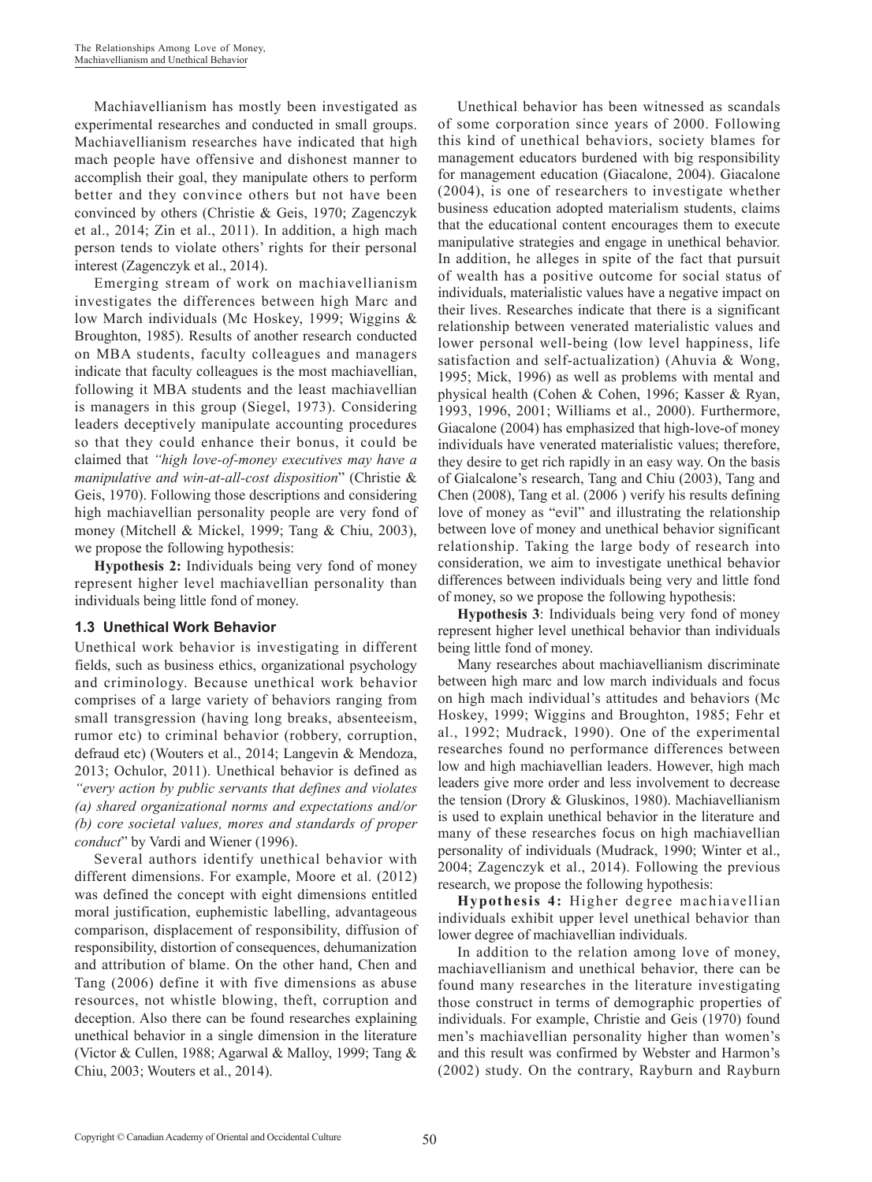Machiavellianism has mostly been investigated as experimental researches and conducted in small groups. Machiavellianism researches have indicated that high mach people have offensive and dishonest manner to accomplish their goal, they manipulate others to perform better and they convince others but not have been convinced by others (Christie & Geis, 1970; Zagenczyk et al., 2014; Zin et al., 2011). In addition, a high mach person tends to violate others' rights for their personal interest (Zagenczyk et al., 2014).

Emerging stream of work on machiavellianism investigates the differences between high Marc and low March individuals (Mc Hoskey, 1999; Wiggins & Broughton, 1985). Results of another research conducted on MBA students, faculty colleagues and managers indicate that faculty colleagues is the most machiavellian, following it MBA students and the least machiavellian is managers in this group (Siegel, 1973). Considering leaders deceptively manipulate accounting procedures so that they could enhance their bonus, it could be claimed that *"high love-of-money executives may have a manipulative and win-at-all-cost disposition*" (Christie & Geis, 1970). Following those descriptions and considering high machiavellian personality people are very fond of money (Mitchell & Mickel, 1999; Tang & Chiu, 2003), we propose the following hypothesis:

**Hypothesis 2:** Individuals being very fond of money represent higher level machiavellian personality than individuals being little fond of money.

#### **1.3 Unethical Work Behavior**

Unethical work behavior is investigating in different fields, such as business ethics, organizational psychology and criminology. Because unethical work behavior comprises of a large variety of behaviors ranging from small transgression (having long breaks, absenteeism, rumor etc) to criminal behavior (robbery, corruption, defraud etc) (Wouters et al., 2014; Langevin & Mendoza, 2013; Ochulor, 2011). Unethical behavior is defined as *"every action by public servants that defines and violates (a) shared organizational norms and expectations and/or (b) core societal values, mores and standards of proper conduct*" by Vardi and Wiener (1996).

Several authors identify unethical behavior with different dimensions. For example, Moore et al. (2012) was defined the concept with eight dimensions entitled moral justification, euphemistic labelling, advantageous comparison, displacement of responsibility, diffusion of responsibility, distortion of consequences, dehumanization and attribution of blame. On the other hand, Chen and Tang (2006) define it with five dimensions as abuse resources, not whistle blowing, theft, corruption and deception. Also there can be found researches explaining unethical behavior in a single dimension in the literature (Victor & Cullen, 1988; Agarwal & Malloy, 1999; Tang & Chiu, 2003; Wouters et al., 2014).

Unethical behavior has been witnessed as scandals of some corporation since years of 2000. Following this kind of unethical behaviors, society blames for management educators burdened with big responsibility for management education (Giacalone, 2004). Giacalone (2004), is one of researchers to investigate whether business education adopted materialism students, claims that the educational content encourages them to execute manipulative strategies and engage in unethical behavior. In addition, he alleges in spite of the fact that pursuit of wealth has a positive outcome for social status of individuals, materialistic values have a negative impact on their lives. Researches indicate that there is a significant relationship between venerated materialistic values and lower personal well-being (low level happiness, life satisfaction and self-actualization) (Ahuvia & Wong, 1995; Mick, 1996) as well as problems with mental and physical health (Cohen & Cohen, 1996; Kasser & Ryan, 1993, 1996, 2001; Williams et al., 2000). Furthermore, Giacalone (2004) has emphasized that high-love-of money individuals have venerated materialistic values; therefore, they desire to get rich rapidly in an easy way. On the basis of Gialcalone's research, Tang and Chiu (2003), Tang and Chen (2008), Tang et al. (2006 ) verify his results defining love of money as "evil" and illustrating the relationship between love of money and unethical behavior significant relationship. Taking the large body of research into consideration, we aim to investigate unethical behavior differences between individuals being very and little fond of money, so we propose the following hypothesis:

**Hypothesis 3**: Individuals being very fond of money represent higher level unethical behavior than individuals being little fond of money.

Many researches about machiavellianism discriminate between high marc and low march individuals and focus on high mach individual's attitudes and behaviors (Mc Hoskey, 1999; Wiggins and Broughton, 1985; Fehr et al., 1992; Mudrack, 1990). One of the experimental researches found no performance differences between low and high machiavellian leaders. However, high mach leaders give more order and less involvement to decrease the tension (Drory & Gluskinos, 1980). Machiavellianism is used to explain unethical behavior in the literature and many of these researches focus on high machiavellian personality of individuals (Mudrack, 1990; Winter et al., 2004; Zagenczyk et al., 2014). Following the previous research, we propose the following hypothesis:

**Hypothesis 4:** Higher degree machiavellian individuals exhibit upper level unethical behavior than lower degree of machiavellian individuals.

In addition to the relation among love of money, machiavellianism and unethical behavior, there can be found many researches in the literature investigating those construct in terms of demographic properties of individuals. For example, Christie and Geis (1970) found men's machiavellian personality higher than women's and this result was confirmed by Webster and Harmon's (2002) study. On the contrary, Rayburn and Rayburn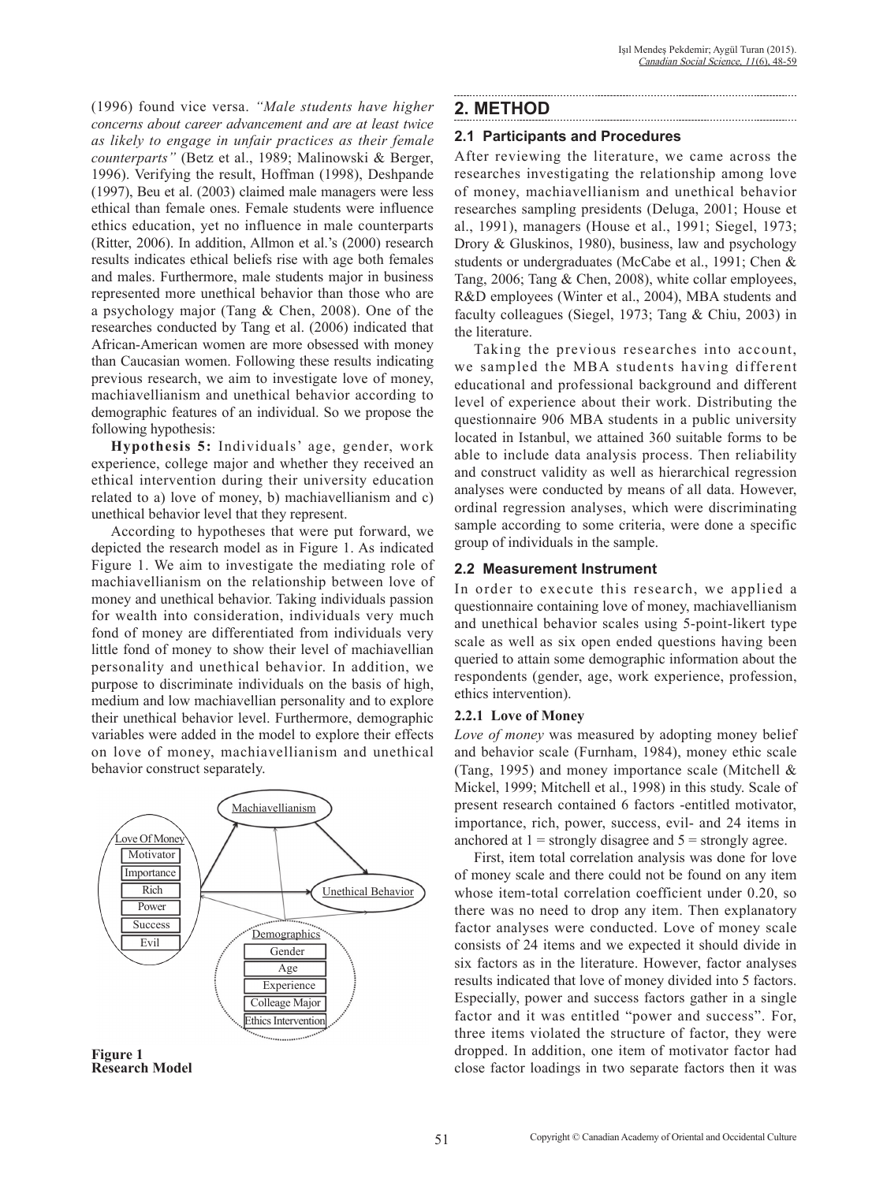(1996) found vice versa. *"Male students have higher concerns about career advancement and are at least twice as likely to engage in unfair practices as their female counterparts"* (Betz et al., 1989; Malinowski & Berger, 1996). Verifying the result, Hoffman (1998), Deshpande (1997), Beu et al. (2003) claimed male managers were less ethical than female ones. Female students were influence ethics education, yet no influence in male counterparts (Ritter, 2006). In addition, Allmon et al.'s (2000) research results indicates ethical beliefs rise with age both females and males. Furthermore, male students major in business represented more unethical behavior than those who are a psychology major (Tang & Chen, 2008). One of the researches conducted by Tang et al. (2006) indicated that African-American women are more obsessed with money than Caucasian women. Following these results indicating previous research, we aim to investigate love of money, machiavellianism and unethical behavior according to demographic features of an individual. So we propose the following hypothesis:

**Hypothesis 5:** Individuals' age, gender, work experience, college major and whether they received an ethical intervention during their university education related to a) love of money, b) machiavellianism and c) unethical behavior level that they represent.

According to hypotheses that were put forward, we depicted the research model as in Figure 1. As indicated Figure 1. We aim to investigate the mediating role of machiavellianism on the relationship between love of money and unethical behavior. Taking individuals passion for wealth into consideration, individuals very much fond of money are differentiated from individuals very little fond of money to show their level of machiavellian personality and unethical behavior. In addition, we purpose to discriminate individuals on the basis of high, medium and low machiavellian personality and to explore their unethical behavior level. Furthermore, demographic variables were added in the model to explore their effects on love of money, machiavellianism and unethical behavior construct separately.



**Figure 1 Research Model**

## **2. METHOD**

### **2.1 Participants and Procedures**

After reviewing the literature, we came across the researches investigating the relationship among love of money, machiavellianism and unethical behavior researches sampling presidents (Deluga, 2001; House et al., 1991), managers (House et al., 1991; Siegel, 1973; Drory & Gluskinos, 1980), business, law and psychology students or undergraduates (McCabe et al., 1991; Chen & Tang, 2006; Tang & Chen, 2008), white collar employees, R&D employees (Winter et al., 2004), MBA students and faculty colleagues (Siegel, 1973; Tang & Chiu, 2003) in the literature.

Taking the previous researches into account, we sampled the MBA students having different educational and professional background and different level of experience about their work. Distributing the questionnaire 906 MBA students in a public university located in Istanbul, we attained 360 suitable forms to be able to include data analysis process. Then reliability and construct validity as well as hierarchical regression analyses were conducted by means of all data. However, ordinal regression analyses, which were discriminating sample according to some criteria, were done a specific group of individuals in the sample.

### **2.2 Measurement Instrument**

In order to execute this research, we applied a questionnaire containing love of money, machiavellianism and unethical behavior scales using 5-point-likert type scale as well as six open ended questions having been queried to attain some demographic information about the respondents (gender, age, work experience, profession, ethics intervention).

### **2.2.1 Love of Money**

*Love of money* was measured by adopting money belief and behavior scale (Furnham, 1984), money ethic scale (Tang, 1995) and money importance scale (Mitchell & Mickel, 1999; Mitchell et al., 1998) in this study. Scale of present research contained 6 factors -entitled motivator, importance, rich, power, success, evil- and 24 items in anchored at  $1 =$  strongly disagree and  $5 =$  strongly agree.

First, item total correlation analysis was done for love of money scale and there could not be found on any item whose item-total correlation coefficient under 0.20, so there was no need to drop any item. Then explanatory factor analyses were conducted. Love of money scale consists of 24 items and we expected it should divide in six factors as in the literature. However, factor analyses results indicated that love of money divided into 5 factors. Especially, power and success factors gather in a single factor and it was entitled "power and success". For, three items violated the structure of factor, they were dropped. In addition, one item of motivator factor had close factor loadings in two separate factors then it was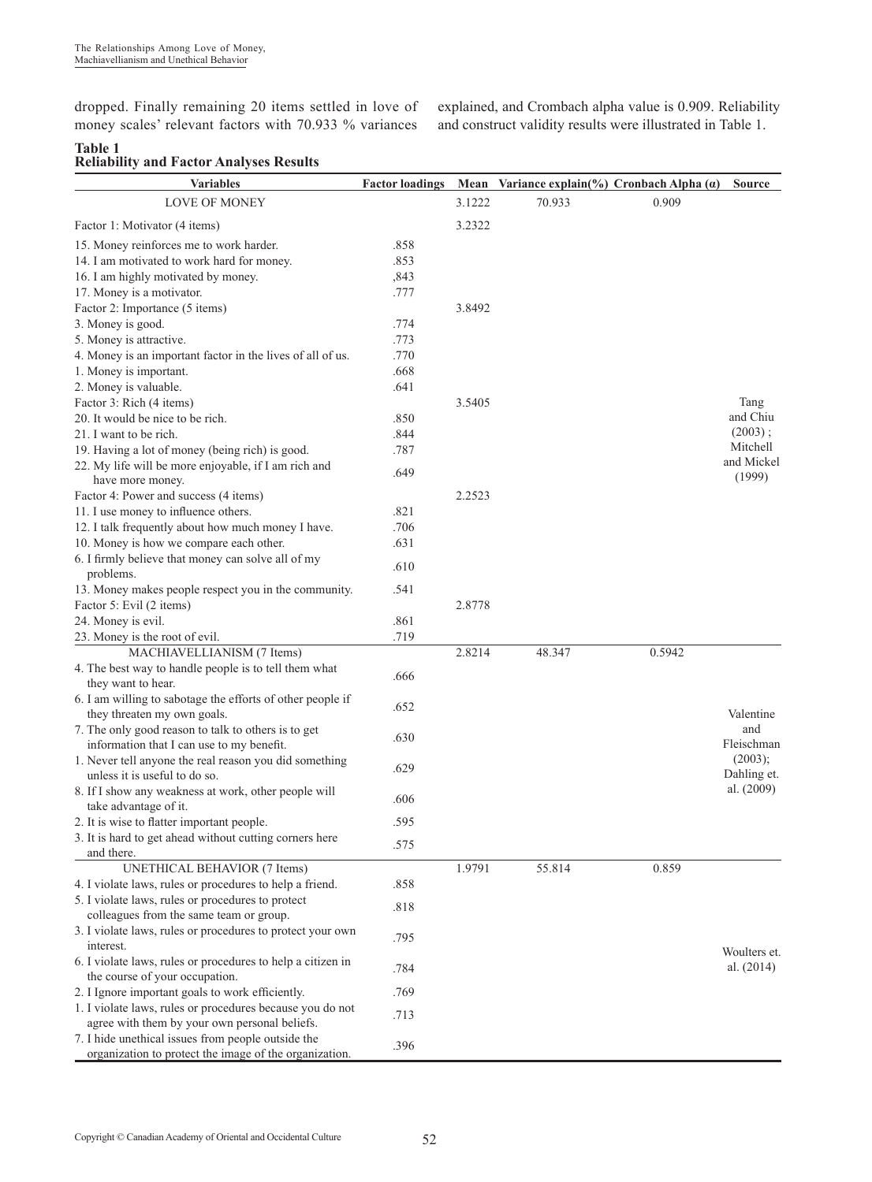dropped. Finally remaining 20 items settled in love of money scales' relevant factors with 70.933 % variances

explained, and Crombach alpha value is 0.909. Reliability and construct validity results were illustrated in Table 1.

#### **Table 1 Reliability and Factor Analyses Results**

| <b>Variables</b>                                                                                             | <b>Factor loadings</b> |        | Mean Variance explain(%) Cronbach Alpha $(a)$ |        | <b>Source</b> |
|--------------------------------------------------------------------------------------------------------------|------------------------|--------|-----------------------------------------------|--------|---------------|
| <b>LOVE OF MONEY</b>                                                                                         |                        | 3.1222 | 70.933                                        | 0.909  |               |
| Factor 1: Motivator (4 items)                                                                                |                        | 3.2322 |                                               |        |               |
| 15. Money reinforces me to work harder.                                                                      | .858                   |        |                                               |        |               |
| 14. I am motivated to work hard for money.                                                                   | .853                   |        |                                               |        |               |
| 16. I am highly motivated by money.                                                                          | ,843                   |        |                                               |        |               |
| 17. Money is a motivator.                                                                                    | .777                   |        |                                               |        |               |
| Factor 2: Importance (5 items)                                                                               |                        | 3.8492 |                                               |        |               |
| 3. Money is good.                                                                                            | .774                   |        |                                               |        |               |
| 5. Money is attractive.                                                                                      | .773                   |        |                                               |        |               |
| 4. Money is an important factor in the lives of all of us.                                                   | .770                   |        |                                               |        |               |
| 1. Money is important.                                                                                       | .668                   |        |                                               |        |               |
| 2. Money is valuable.                                                                                        | .641                   |        |                                               |        |               |
| Factor 3: Rich (4 items)                                                                                     |                        | 3.5405 |                                               |        | Tang          |
| 20. It would be nice to be rich.                                                                             | .850                   |        |                                               |        | and Chiu      |
| 21. I want to be rich.                                                                                       | .844                   |        |                                               |        | $(2003)$ ;    |
| 19. Having a lot of money (being rich) is good.                                                              | .787                   |        |                                               |        | Mitchell      |
| 22. My life will be more enjoyable, if I am rich and                                                         |                        |        |                                               |        | and Mickel    |
| have more money.                                                                                             | .649                   |        |                                               |        | (1999)        |
| Factor 4: Power and success (4 items)                                                                        |                        | 2.2523 |                                               |        |               |
| 11. I use money to influence others.                                                                         | .821                   |        |                                               |        |               |
| 12. I talk frequently about how much money I have.                                                           | .706                   |        |                                               |        |               |
| 10. Money is how we compare each other.                                                                      | .631                   |        |                                               |        |               |
| 6. I firmly believe that money can solve all of my                                                           |                        |        |                                               |        |               |
| problems.                                                                                                    | .610                   |        |                                               |        |               |
| 13. Money makes people respect you in the community.                                                         | .541                   |        |                                               |        |               |
| Factor 5: Evil (2 items)                                                                                     |                        | 2.8778 |                                               |        |               |
| 24. Money is evil.                                                                                           | .861                   |        |                                               |        |               |
| 23. Money is the root of evil.                                                                               | .719                   |        |                                               |        |               |
| MACHIAVELLIANISM (7 Items)                                                                                   |                        | 2.8214 | 48.347                                        | 0.5942 |               |
| 4. The best way to handle people is to tell them what                                                        |                        |        |                                               |        |               |
| they want to hear.                                                                                           | .666                   |        |                                               |        |               |
| 6. I am willing to sabotage the efforts of other people if                                                   |                        |        |                                               |        |               |
| they threaten my own goals.                                                                                  | .652                   |        |                                               |        | Valentine     |
| 7. The only good reason to talk to others is to get                                                          |                        |        |                                               |        | and           |
| information that I can use to my benefit.                                                                    | .630                   |        |                                               |        | Fleischman    |
| 1. Never tell anyone the real reason you did something                                                       |                        |        |                                               |        | (2003);       |
| unless it is useful to do so.                                                                                | .629                   |        |                                               |        | Dahling et.   |
| 8. If I show any weakness at work, other people will                                                         |                        |        |                                               |        | al. $(2009)$  |
| take advantage of it.                                                                                        | .606                   |        |                                               |        |               |
| 2. It is wise to flatter important people.                                                                   | .595                   |        |                                               |        |               |
| 3. It is hard to get ahead without cutting corners here                                                      |                        |        |                                               |        |               |
| and there.                                                                                                   | .575                   |        |                                               |        |               |
| UNETHICAL BEHAVIOR (7 Items)                                                                                 |                        | 1.9791 | 55.814                                        | 0.859  |               |
| 4. I violate laws, rules or procedures to help a friend.                                                     | .858                   |        |                                               |        |               |
| 5. I violate laws, rules or procedures to protect                                                            |                        |        |                                               |        |               |
| colleagues from the same team or group.                                                                      | .818                   |        |                                               |        |               |
| 3. I violate laws, rules or procedures to protect your own                                                   |                        |        |                                               |        |               |
| interest.                                                                                                    | .795                   |        |                                               |        | Woulters et.  |
| 6. I violate laws, rules or procedures to help a citizen in                                                  |                        |        |                                               |        | al. $(2014)$  |
| the course of your occupation.                                                                               | .784                   |        |                                               |        |               |
| 2. I Ignore important goals to work efficiently.                                                             | .769                   |        |                                               |        |               |
| 1. I violate laws, rules or procedures because you do not                                                    |                        |        |                                               |        |               |
| agree with them by your own personal beliefs.                                                                | .713                   |        |                                               |        |               |
| 7. I hide unethical issues from people outside the<br>organization to protect the image of the organization. | .396                   |        |                                               |        |               |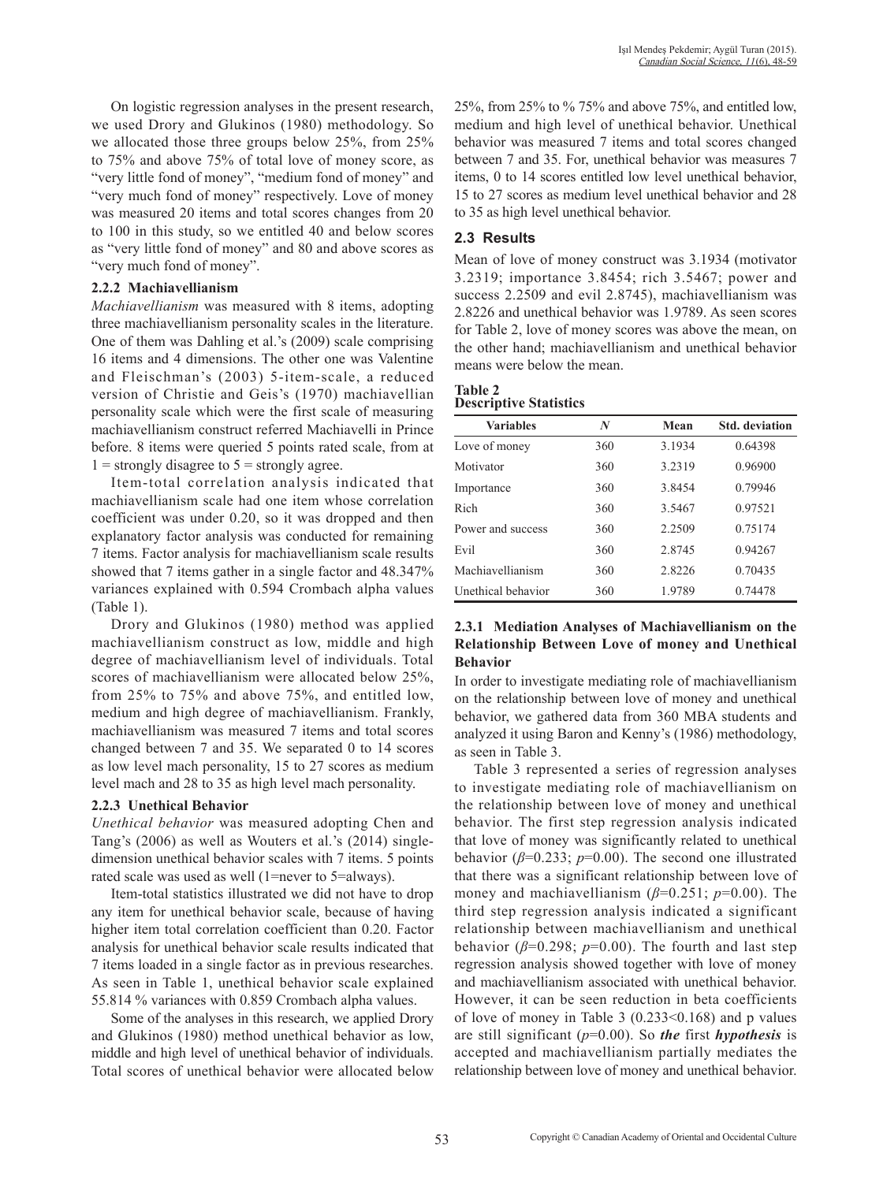On logistic regression analyses in the present research, we used Drory and Glukinos (1980) methodology. So we allocated those three groups below 25%, from 25% to 75% and above 75% of total love of money score, as "very little fond of money", "medium fond of money" and "very much fond of money" respectively. Love of money was measured 20 items and total scores changes from 20 to 100 in this study, so we entitled 40 and below scores as "very little fond of money" and 80 and above scores as "very much fond of money".

#### **2.2.2 Machiavellianism**

*Machiavellianism* was measured with 8 items, adopting three machiavellianism personality scales in the literature. One of them was Dahling et al.'s (2009) scale comprising 16 items and 4 dimensions. The other one was Valentine and Fleischman's (2003) 5-item-scale, a reduced version of Christie and Geis's (1970) machiavellian personality scale which were the first scale of measuring machiavellianism construct referred Machiavelli in Prince before. 8 items were queried 5 points rated scale, from at  $1 =$  strongly disagree to  $5 =$  strongly agree.

Item-total correlation analysis indicated that machiavellianism scale had one item whose correlation coefficient was under 0.20, so it was dropped and then explanatory factor analysis was conducted for remaining 7 items. Factor analysis for machiavellianism scale results showed that 7 items gather in a single factor and 48.347% variances explained with 0.594 Crombach alpha values (Table 1).

Drory and Glukinos (1980) method was applied machiavellianism construct as low, middle and high degree of machiavellianism level of individuals. Total scores of machiavellianism were allocated below 25%, from 25% to 75% and above 75%, and entitled low, medium and high degree of machiavellianism. Frankly, machiavellianism was measured 7 items and total scores changed between 7 and 35. We separated 0 to 14 scores as low level mach personality, 15 to 27 scores as medium level mach and 28 to 35 as high level mach personality.

#### **2.2.3 Unethical Behavior**

*Unethical behavior* was measured adopting Chen and Tang's (2006) as well as Wouters et al.'s (2014) singledimension unethical behavior scales with 7 items. 5 points rated scale was used as well (1=never to 5=always).

Item-total statistics illustrated we did not have to drop any item for unethical behavior scale, because of having higher item total correlation coefficient than 0.20. Factor analysis for unethical behavior scale results indicated that 7 items loaded in a single factor as in previous researches. As seen in Table 1, unethical behavior scale explained 55.814 % variances with 0.859 Crombach alpha values.

Some of the analyses in this research, we applied Drory and Glukinos (1980) method unethical behavior as low, middle and high level of unethical behavior of individuals. Total scores of unethical behavior were allocated below

25%, from 25% to % 75% and above 75%, and entitled low, medium and high level of unethical behavior. Unethical behavior was measured 7 items and total scores changed between 7 and 35. For, unethical behavior was measures 7 items, 0 to 14 scores entitled low level unethical behavior, 15 to 27 scores as medium level unethical behavior and 28 to 35 as high level unethical behavior.

### **2.3 Results**

Mean of love of money construct was 3.1934 (motivator 3.2319; importance 3.8454; rich 3.5467; power and success 2.2509 and evil 2.8745), machiavellianism was 2.8226 and unethical behavior was 1.9789. As seen scores for Table 2, love of money scores was above the mean, on the other hand; machiavellianism and unethical behavior means were below the mean.

#### **Table 2 Descriptive Statistics**

| <b>Variables</b>   | N   | Mean   | <b>Std.</b> deviation |
|--------------------|-----|--------|-----------------------|
| Love of money      | 360 | 3.1934 | 0.64398               |
| Motivator          | 360 | 3.2319 | 0.96900               |
| Importance         | 360 | 38454  | 0.79946               |
| Rich               | 360 | 3.5467 | 0.97521               |
| Power and success  | 360 | 2.2509 | 0 75174               |
| Evil               | 360 | 2.8745 | 0.94267               |
| Machiavellianism   | 360 | 2.8226 | 0.70435               |
| Unethical behavior | 360 | 1.9789 | 0.74478               |

### **2.3.1 Mediation Analyses of Machiavellianism on the Relationship Between Love of money and Unethical Behavior**

In order to investigate mediating role of machiavellianism on the relationship between love of money and unethical behavior, we gathered data from 360 MBA students and analyzed it using Baron and Kenny's (1986) methodology, as seen in Table 3.

Table 3 represented a series of regression analyses to investigate mediating role of machiavellianism on the relationship between love of money and unethical behavior. The first step regression analysis indicated that love of money was significantly related to unethical behavior (*β*=0.233; *p*=0.00). The second one illustrated that there was a significant relationship between love of money and machiavellianism (*β*=0.251; *p*=0.00). The third step regression analysis indicated a significant relationship between machiavellianism and unethical behavior ( $\beta$ =0.298;  $p$ =0.00). The fourth and last step regression analysis showed together with love of money and machiavellianism associated with unethical behavior. However, it can be seen reduction in beta coefficients of love of money in Table 3 (0.233<0.168) and p values are still significant (*p*=0.00). So *the* first *hypothesis* is accepted and machiavellianism partially mediates the relationship between love of money and unethical behavior.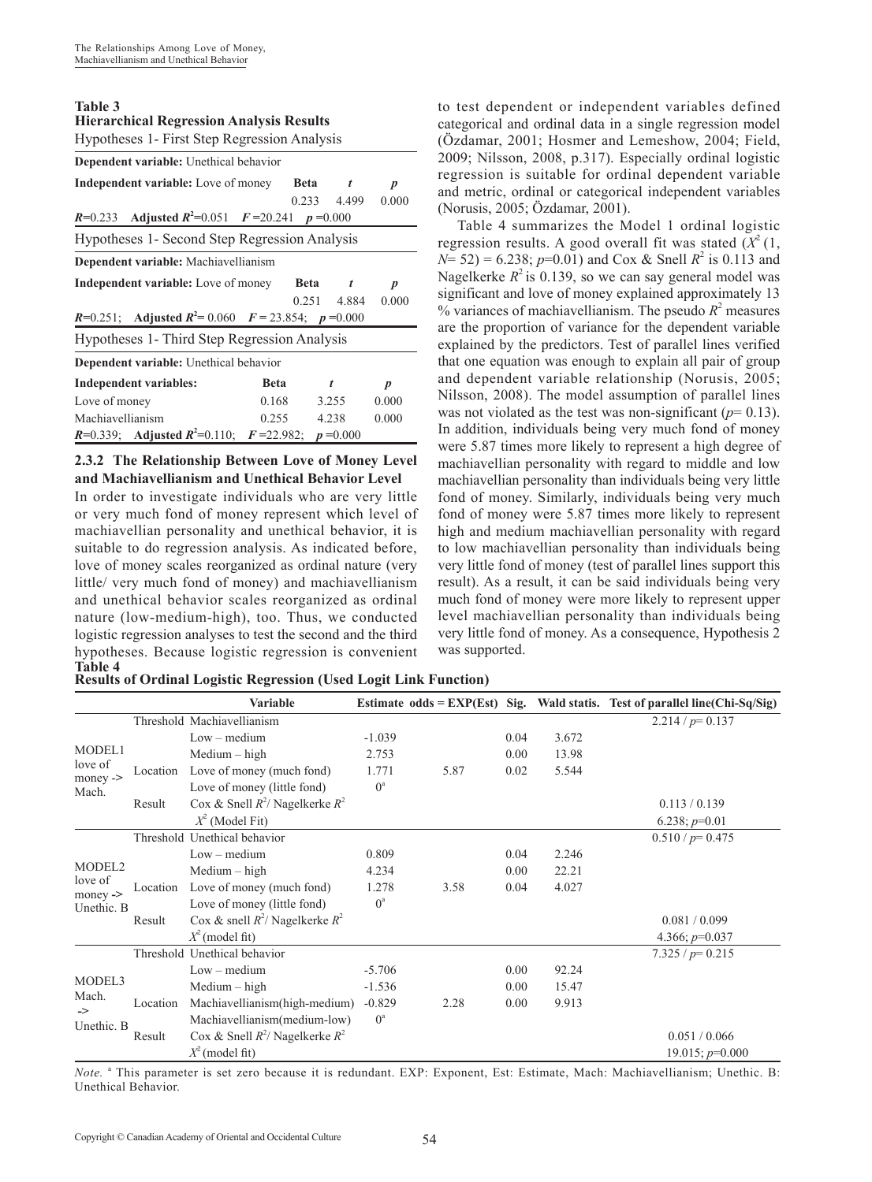#### **Table 3 Hierarchical Regression Analysis Results**

| Hypotheses 1- First Step Regression Analysis                                              |             |             |                  |  |  |  |  |  |  |
|-------------------------------------------------------------------------------------------|-------------|-------------|------------------|--|--|--|--|--|--|
| Dependent variable: Unethical behavior                                                    |             |             |                  |  |  |  |  |  |  |
| Independent variable: Love of money<br><b>Beta</b><br>$\boldsymbol{p}$                    |             |             |                  |  |  |  |  |  |  |
|                                                                                           |             | 0.233 4.499 | 0.000            |  |  |  |  |  |  |
| <i>R</i> =0.233 Adjusted $R^2$ =0.051 $F$ =20.241 $p$ =0.000                              |             |             |                  |  |  |  |  |  |  |
| Hypotheses 1- Second Step Regression Analysis                                             |             |             |                  |  |  |  |  |  |  |
| Dependent variable: Machiavellianism                                                      |             |             |                  |  |  |  |  |  |  |
| Independent variable: Love of money<br><b>Beta</b><br>t<br>$\boldsymbol{p}$               |             |             |                  |  |  |  |  |  |  |
|                                                                                           |             | 0.251 4.884 | 0.000            |  |  |  |  |  |  |
| <b>R</b> =0.251; Adjusted $R^2$ = 0.060 $F$ = 23.854; $p$ =0.000                          |             |             |                  |  |  |  |  |  |  |
| Hypotheses 1- Third Step Regression Analysis                                              |             |             |                  |  |  |  |  |  |  |
| Dependent variable: Unethical behavior                                                    |             |             |                  |  |  |  |  |  |  |
| <b>Independent variables:</b>                                                             | Beta        | t           | $\boldsymbol{p}$ |  |  |  |  |  |  |
| Love of money<br>0.168<br>3.255<br>0.000                                                  |             |             |                  |  |  |  |  |  |  |
| Machiavellianism                                                                          | 0.255 4.238 |             | 0.000            |  |  |  |  |  |  |
| <i>R</i> =0.339; Adjusted <i>R</i> <sup>2</sup> =0.110; <i>F</i> =22.982; <i>p</i> =0.000 |             |             |                  |  |  |  |  |  |  |

### **2.3.2 The Relationship Between Love of Money Level and Machiavellianism and Unethical Behavior Level**

In order to investigate individuals who are very little or very much fond of money represent which level of machiavellian personality and unethical behavior, it is suitable to do regression analysis. As indicated before, love of money scales reorganized as ordinal nature (very little/ very much fond of money) and machiavellianism and unethical behavior scales reorganized as ordinal nature (low-medium-high), too. Thus, we conducted logistic regression analyses to test the second and the third hypotheses. Because logistic regression is convenient **Table 4**

to test dependent or independent variables defined categorical and ordinal data in a single regression model (Özdamar, 2001; Hosmer and Lemeshow, 2004; Field, 2009; Nilsson, 2008, p.317). Especially ordinal logistic regression is suitable for ordinal dependent variable and metric, ordinal or categorical independent variables (Norusis, 2005; Özdamar, 2001).

Table 4 summarizes the Model 1 ordinal logistic regression results. A good overall fit was stated  $(X^2(1,$  $N=$  52) = 6.238; *p*=0.01) and Cox & Snell  $R^2$  is 0.113 and Nagelkerke  $R^2$  is 0.139, so we can say general model was significant and love of money explained approximately 13  $%$  variances of machiavellianism. The pseudo  $R<sup>2</sup>$  measures are the proportion of variance for the dependent variable explained by the predictors. Test of parallel lines verified that one equation was enough to explain all pair of group and dependent variable relationship (Norusis, 2005; Nilsson, 2008). The model assumption of parallel lines was not violated as the test was non-significant  $(p=0.13)$ . In addition, individuals being very much fond of money were 5.87 times more likely to represent a high degree of machiavellian personality with regard to middle and low machiavellian personality than individuals being very little fond of money. Similarly, individuals being very much fond of money were 5.87 times more likely to represent high and medium machiavellian personality with regard to low machiavellian personality than individuals being very little fond of money (test of parallel lines support this result). As a result, it can be said individuals being very much fond of money were more likely to represent upper level machiavellian personality than individuals being very little fond of money. As a consequence, Hypothesis 2 was supported.

| <b>Results of Ordinal Logistic Regression (Used Logit Link Function)</b> |  |  |  |  |  |  |
|--------------------------------------------------------------------------|--|--|--|--|--|--|
|--------------------------------------------------------------------------|--|--|--|--|--|--|

|                          |          | <b>Variable</b>                      |             |      |      |       | Estimate $odds = EXP(Est)$ Sig. Wald statis. Test of parallel line(Chi-Sq/Sig) |
|--------------------------|----------|--------------------------------------|-------------|------|------|-------|--------------------------------------------------------------------------------|
|                          |          | Threshold Machiavellianism           |             |      |      |       | $2.214/p=0.137$                                                                |
|                          |          | $Low - medium$                       | $-1.039$    |      | 0.04 | 3.672 |                                                                                |
| MODEL1                   |          | $Median - high$                      | 2.753       |      | 0.00 | 13.98 |                                                                                |
| love of<br>$money$ - $>$ | Location | Love of money (much fond)            | 1.771       | 5.87 | 0.02 | 5.544 |                                                                                |
| Mach.                    |          | Love of money (little fond)          | $0^{\circ}$ |      |      |       |                                                                                |
|                          | Result   | Cox & Snell $R^2$ / Nagelkerke $R^2$ |             |      |      |       | 0.113 / 0.139                                                                  |
|                          |          | $X^2$ (Model Fit)                    |             |      |      |       | 6.238; $p=0.01$                                                                |
|                          |          | Threshold Unethical behavior         |             |      |      |       | $0.510/p = 0.475$                                                              |
|                          |          | $Low - medium$                       | 0.809       |      | 0.04 | 2.246 |                                                                                |
| MODEL <sub>2</sub>       |          | $Median - high$                      | 4.234       |      | 0.00 | 22.21 |                                                                                |
| love of<br>$money$ - $>$ |          | Location Love of money (much fond)   | 1.278       | 3.58 | 0.04 | 4.027 |                                                                                |
| Unethic. B               |          | Love of money (little fond)          | $0^{\rm a}$ |      |      |       |                                                                                |
|                          | Result   | Cox & snell $R^2$ / Nagelkerke $R^2$ |             |      |      |       | 0.081 / 0.099                                                                  |
|                          |          | $X^2$ (model fit)                    |             |      |      |       | 4.366; $p=0.037$                                                               |
|                          |          | Threshold Unethical behavior         |             |      |      |       | $7.325 / p = 0.215$                                                            |
|                          |          | $Low - medium$                       | $-5.706$    |      | 0.00 | 92.24 |                                                                                |
| MODEL3                   |          | $Median - high$                      | $-1.536$    |      | 0.00 | 15.47 |                                                                                |
| Mach.<br>$\Rightarrow$   | Location | Machiavellianism(high-medium)        | $-0.829$    | 2.28 | 0.00 | 9.913 |                                                                                |
| Unethic. B               |          | Machiavellianism(medium-low)         | $0^a$       |      |      |       |                                                                                |
|                          | Result   | Cox & Snell $R^2$ / Nagelkerke $R^2$ |             |      |      |       | 0.051 / 0.066                                                                  |
|                          |          | $X^2$ (model fit)                    |             |      |      |       | $19.015$ ; $p=0.000$                                                           |

*Note.* <sup>a</sup> This parameter is set zero because it is redundant. EXP: Exponent, Est: Estimate, Mach: Machiavellianism; Unethic. B: Unethical Behavior.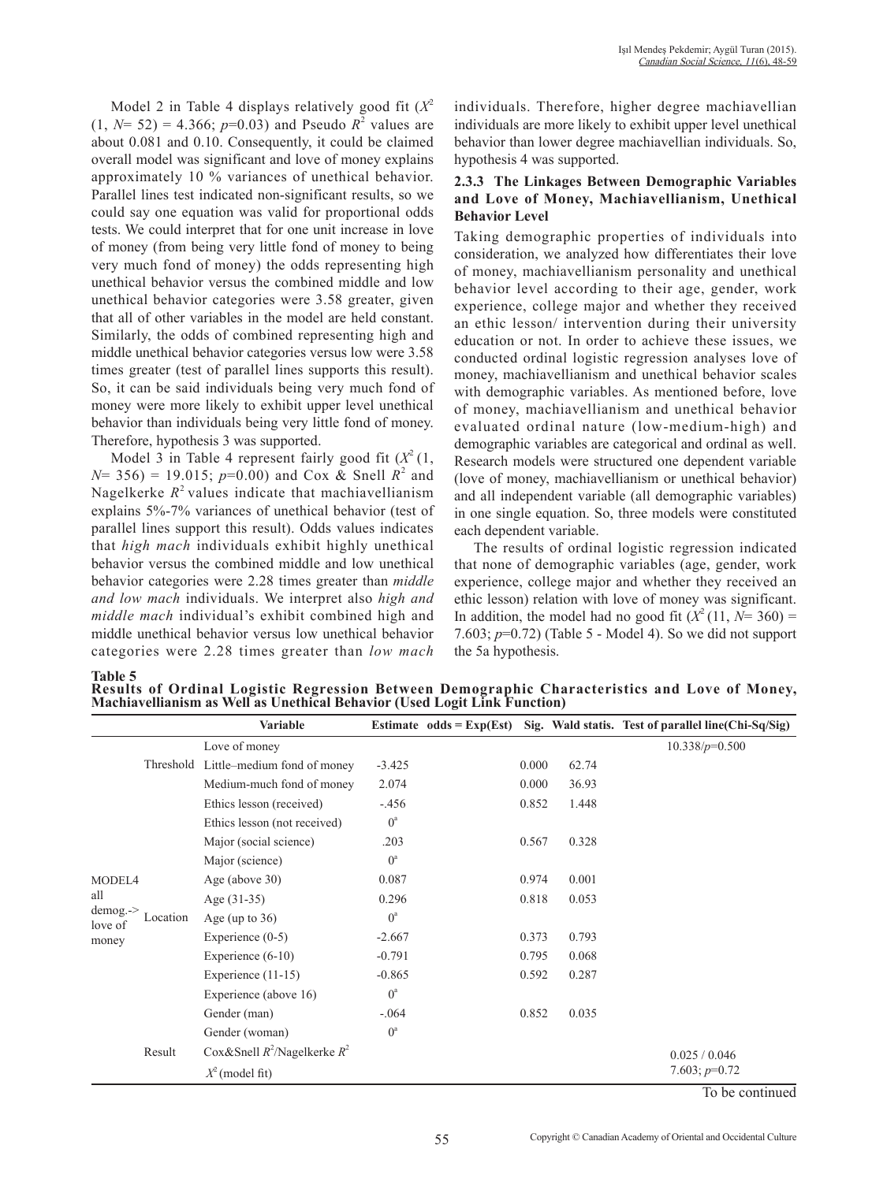Model 2 in Table 4 displays relatively good fit  $(X^2)$  $(1, N= 52) = 4.366$ ;  $p=0.03$ ) and Pseudo  $R^2$  values are about 0.081 and 0.10. Consequently, it could be claimed overall model was significant and love of money explains approximately 10 % variances of unethical behavior. Parallel lines test indicated non-significant results, so we could say one equation was valid for proportional odds tests. We could interpret that for one unit increase in love of money (from being very little fond of money to being very much fond of money) the odds representing high unethical behavior versus the combined middle and low unethical behavior categories were 3.58 greater, given that all of other variables in the model are held constant. Similarly, the odds of combined representing high and middle unethical behavior categories versus low were 3.58 times greater (test of parallel lines supports this result). So, it can be said individuals being very much fond of money were more likely to exhibit upper level unethical behavior than individuals being very little fond of money. Therefore, hypothesis 3 was supported.

Model 3 in Table 4 represent fairly good fit  $(X^2(1,$  $N= 356$  = 19.015;  $p=0.00$  and Cox & Snell  $R^2$  and Nagelkerke  $R^2$  values indicate that machiavellianism explains 5%-7% variances of unethical behavior (test of parallel lines support this result). Odds values indicates that *high mach* individuals exhibit highly unethical behavior versus the combined middle and low unethical behavior categories were 2.28 times greater than *middle and low mach* individuals. We interpret also *high and middle mach* individual's exhibit combined high and middle unethical behavior versus low unethical behavior categories were 2.28 times greater than *low mach*

individuals. Therefore, higher degree machiavellian individuals are more likely to exhibit upper level unethical behavior than lower degree machiavellian individuals. So, hypothesis 4 was supported.

### **2.3.3 The Linkages Between Demographic Variables and Love of Money, Machiavellianism, Unethical Behavior Level**

Taking demographic properties of individuals into consideration, we analyzed how differentiates their love of money, machiavellianism personality and unethical behavior level according to their age, gender, work experience, college major and whether they received an ethic lesson/ intervention during their university education or not. In order to achieve these issues, we conducted ordinal logistic regression analyses love of money, machiavellianism and unethical behavior scales with demographic variables. As mentioned before, love of money, machiavellianism and unethical behavior evaluated ordinal nature (low-medium-high) and demographic variables are categorical and ordinal as well. Research models were structured one dependent variable (love of money, machiavellianism or unethical behavior) and all independent variable (all demographic variables) in one single equation. So, three models were constituted each dependent variable.

The results of ordinal logistic regression indicated that none of demographic variables (age, gender, work experience, college major and whether they received an ethic lesson) relation with love of money was significant. In addition, the model had no good fit  $(X^2(11, N=360))$  = 7.603; *p*=0.72) (Table 5 - Model 4). So we did not support the 5a hypothesis.

**Table 5**

| Results of Ordinal Logistic Regression Between Demographic Characteristics and Love of Money,<br>Machiavellianism as Well as Unethical Behavior (Used Logit Link Function) |  |
|----------------------------------------------------------------------------------------------------------------------------------------------------------------------------|--|

|                                    |          | <b>Variable</b>                       |             |       |       | Estimate $odds = Exp(Est)$ Sig. Wald statis. Test of parallel line(Chi-Sq/Sig) |
|------------------------------------|----------|---------------------------------------|-------------|-------|-------|--------------------------------------------------------------------------------|
|                                    |          | Love of money                         |             |       |       | $10.338/p=0.500$                                                               |
|                                    |          | Threshold Little–medium fond of money | $-3.425$    | 0.000 | 62.74 |                                                                                |
|                                    |          | Medium-much fond of money             | 2.074       | 0.000 | 36.93 |                                                                                |
|                                    |          | Ethics lesson (received)              | $-.456$     | 0.852 | 1.448 |                                                                                |
|                                    |          | Ethics lesson (not received)          | $0^a$       |       |       |                                                                                |
|                                    |          | Major (social science)                | .203        | 0.567 | 0.328 |                                                                                |
|                                    |          | Major (science)                       | $0^a$       |       |       |                                                                                |
| MODEL4                             |          | Age (above $30$ )                     | 0.087       | 0.974 | 0.001 |                                                                                |
| all                                |          | Age $(31-35)$                         | 0.296       | 0.818 | 0.053 |                                                                                |
| $d$ emog. $\rightarrow$<br>love of | Location | Age (up to $36$ )                     | $0^a$       |       |       |                                                                                |
| money                              |          | Experience $(0-5)$                    | $-2.667$    | 0.373 | 0.793 |                                                                                |
|                                    |          | Experience $(6-10)$                   | $-0.791$    | 0.795 | 0.068 |                                                                                |
|                                    |          | Experience $(11-15)$                  | $-0.865$    | 0.592 | 0.287 |                                                                                |
|                                    |          | Experience (above 16)                 | $0^a$       |       |       |                                                                                |
|                                    |          | Gender (man)                          | $-.064$     | 0.852 | 0.035 |                                                                                |
|                                    |          | Gender (woman)                        | $0^{\circ}$ |       |       |                                                                                |
|                                    | Result   | Cox&Snell $R^2$ /Nagelkerke $R^2$     |             |       |       | 0.025 / 0.046                                                                  |
|                                    |          | $X^2$ (model fit)                     |             |       |       | 7.603; $p=0.72$                                                                |

To be continued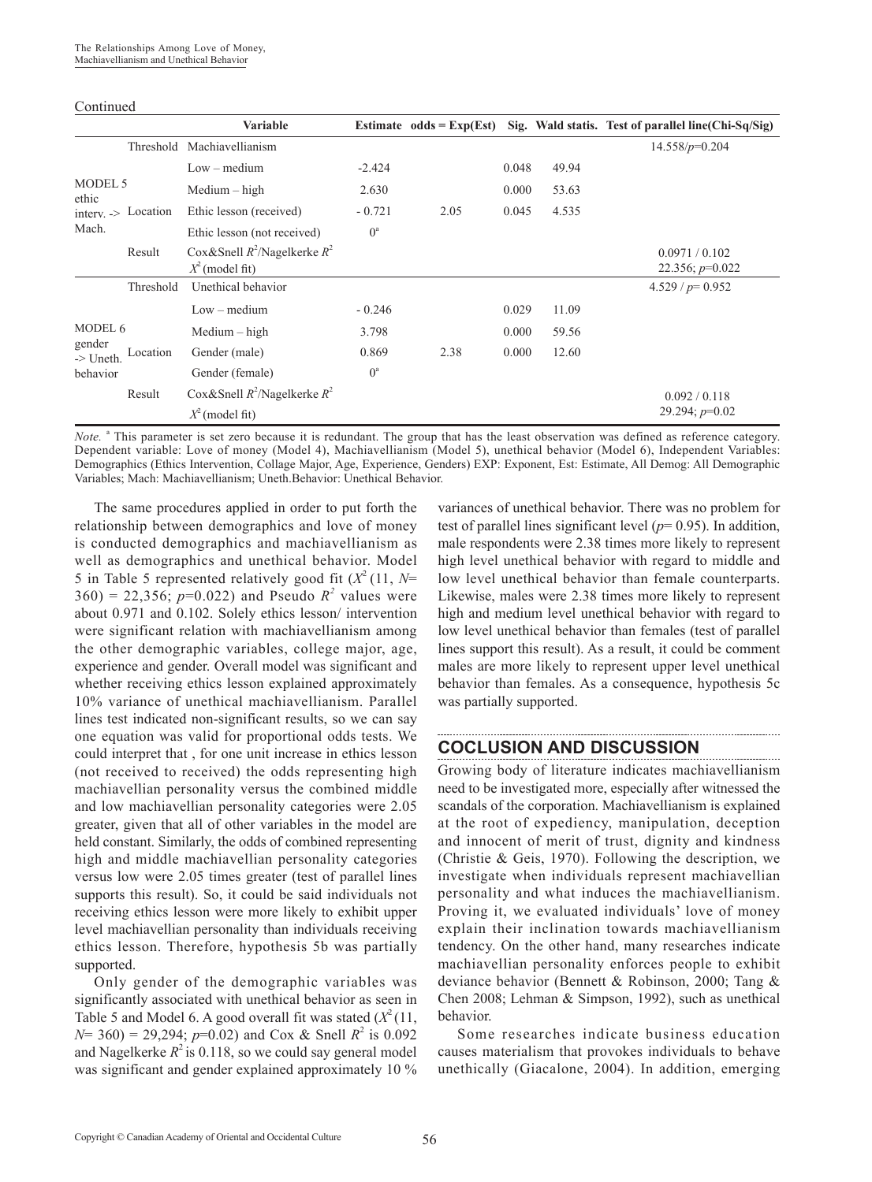#### Continued

|                                     | <b>Variable</b>                                        |             | Estimate odds = $Exp(Est)$ |       |       | Sig. Wald statis. Test of parallel line (Chi-Sq/Sig) |
|-------------------------------------|--------------------------------------------------------|-------------|----------------------------|-------|-------|------------------------------------------------------|
|                                     | Threshold Machiavellianism                             |             |                            |       |       | $14.558/p=0.204$                                     |
|                                     | $Low - medium$                                         | $-2.424$    |                            | 0.048 | 49.94 |                                                      |
| MODEL 5<br>ethic                    | $Median - high$                                        | 2.630       |                            | 0.000 | 53.63 |                                                      |
| interv. -> Location                 | Ethic lesson (received)                                | $-0.721$    | 2.05                       | 0.045 | 4.535 |                                                      |
| Mach.                               | Ethic lesson (not received)                            | $0^{\rm a}$ |                            |       |       |                                                      |
| Result                              | Cox&Snell $R^2$ /Nagelkerke $R^2$<br>$X^2$ (model fit) |             |                            |       |       | 0.0971 / 0.102<br>22.356; $p=0.022$                  |
| Threshold                           | Unethical behavior                                     |             |                            |       |       | $4.529 / p = 0.952$                                  |
|                                     | $Low - medium$                                         | $-0.246$    |                            | 0.029 | 11.09 |                                                      |
| MODEL 6                             | $Median - high$                                        | 3.798       |                            | 0.000 | 59.56 |                                                      |
| gender<br>Location<br>$\geq$ Uneth. | Gender (male)                                          | 0.869       | 2.38                       | 0.000 | 12.60 |                                                      |
| behavior                            | Gender (female)                                        | $0^a$       |                            |       |       |                                                      |
| Result                              | Cox&Snell $R^2$ /Nagelkerke $R^2$                      |             |                            |       |       | 0.092 / 0.118                                        |
|                                     | $X^2$ (model fit)                                      |             |                            |       |       | 29.294; $p=0.02$                                     |

Note. <sup>a</sup> This parameter is set zero because it is redundant. The group that has the least observation was defined as reference category. Dependent variable: Love of money (Model 4), Machiavellianism (Model 5), unethical behavior (Model 6), Independent Variables: Demographics (Ethics Intervention, Collage Major, Age, Experience, Genders) EXP: Exponent, Est: Estimate, All Demog: All Demographic Variables; Mach: Machiavellianism; Uneth.Behavior: Unethical Behavior.

The same procedures applied in order to put forth the relationship between demographics and love of money is conducted demographics and machiavellianism as well as demographics and unethical behavior. Model 5 in Table 5 represented relatively good fit  $(X^2(11, N=$  $360$  = 22,356;  $p=0.022$ ) and Pseudo  $R^2$  values were about 0.971 and 0.102. Solely ethics lesson/ intervention were significant relation with machiavellianism among the other demographic variables, college major, age, experience and gender. Overall model was significant and whether receiving ethics lesson explained approximately 10% variance of unethical machiavellianism. Parallel lines test indicated non-significant results, so we can say one equation was valid for proportional odds tests. We could interpret that , for one unit increase in ethics lesson (not received to received) the odds representing high machiavellian personality versus the combined middle and low machiavellian personality categories were 2.05 greater, given that all of other variables in the model are held constant. Similarly, the odds of combined representing high and middle machiavellian personality categories versus low were 2.05 times greater (test of parallel lines supports this result). So, it could be said individuals not receiving ethics lesson were more likely to exhibit upper level machiavellian personality than individuals receiving ethics lesson. Therefore, hypothesis 5b was partially supported.

Only gender of the demographic variables was significantly associated with unethical behavior as seen in Table 5 and Model 6. A good overall fit was stated  $(X^2(11,$  $N= 360$  = 29,294; *p*=0.02) and Cox & Snell  $R^2$  is 0.092 and Nagelkerke  $R^2$  is 0.118, so we could say general model was significant and gender explained approximately 10 %

variances of unethical behavior. There was no problem for test of parallel lines significant level (*p*= 0.95). In addition, male respondents were 2.38 times more likely to represent high level unethical behavior with regard to middle and low level unethical behavior than female counterparts. Likewise, males were 2.38 times more likely to represent high and medium level unethical behavior with regard to low level unethical behavior than females (test of parallel lines support this result). As a result, it could be comment males are more likely to represent upper level unethical behavior than females. As a consequence, hypothesis 5c was partially supported.

### **COCLUSION AND DISCUSSION**

Growing body of literature indicates machiavellianism need to be investigated more, especially after witnessed the scandals of the corporation. Machiavellianism is explained at the root of expediency, manipulation, deception and innocent of merit of trust, dignity and kindness (Christie & Geis, 1970). Following the description, we investigate when individuals represent machiavellian personality and what induces the machiavellianism. Proving it, we evaluated individuals' love of money explain their inclination towards machiavellianism tendency. On the other hand, many researches indicate machiavellian personality enforces people to exhibit deviance behavior (Bennett & Robinson, 2000; Tang & Chen 2008; Lehman & Simpson, 1992), such as unethical behavior.

Some researches indicate business education causes materialism that provokes individuals to behave unethically (Giacalone, 2004). In addition, emerging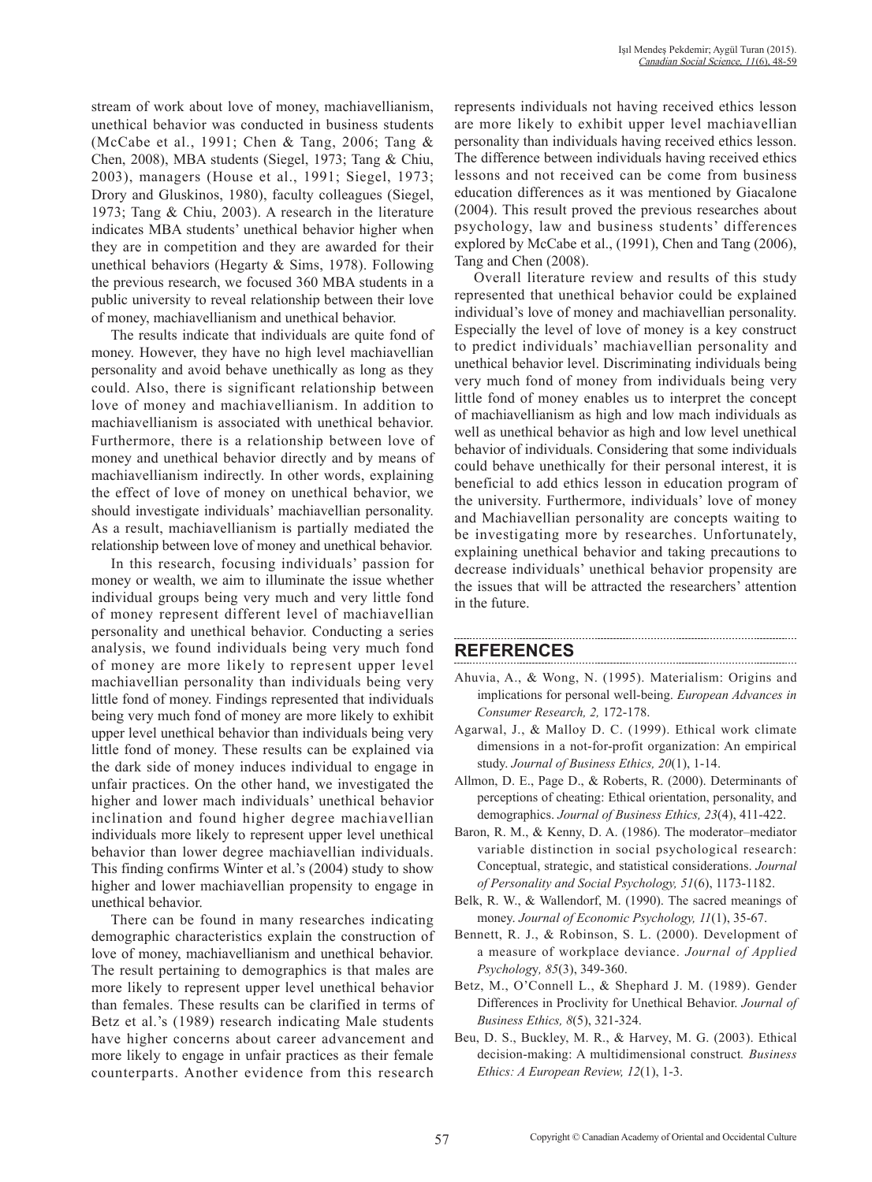stream of work about love of money, machiavellianism, unethical behavior was conducted in business students (McCabe et al., 1991; Chen & Tang, 2006; Tang & Chen, 2008), MBA students (Siegel, 1973; Tang & Chiu, 2003), managers (House et al., 1991; Siegel, 1973; Drory and Gluskinos, 1980), faculty colleagues (Siegel, 1973; Tang & Chiu, 2003). A research in the literature indicates MBA students' unethical behavior higher when they are in competition and they are awarded for their unethical behaviors (Hegarty & Sims, 1978). Following the previous research, we focused 360 MBA students in a public university to reveal relationship between their love of money, machiavellianism and unethical behavior.

The results indicate that individuals are quite fond of money. However, they have no high level machiavellian personality and avoid behave unethically as long as they could. Also, there is significant relationship between love of money and machiavellianism. In addition to machiavellianism is associated with unethical behavior. Furthermore, there is a relationship between love of money and unethical behavior directly and by means of machiavellianism indirectly. In other words, explaining the effect of love of money on unethical behavior, we should investigate individuals' machiavellian personality. As a result, machiavellianism is partially mediated the relationship between love of money and unethical behavior.

In this research, focusing individuals' passion for money or wealth, we aim to illuminate the issue whether individual groups being very much and very little fond of money represent different level of machiavellian personality and unethical behavior. Conducting a series analysis, we found individuals being very much fond of money are more likely to represent upper level machiavellian personality than individuals being very little fond of money. Findings represented that individuals being very much fond of money are more likely to exhibit upper level unethical behavior than individuals being very little fond of money. These results can be explained via the dark side of money induces individual to engage in unfair practices. On the other hand, we investigated the higher and lower mach individuals' unethical behavior inclination and found higher degree machiavellian individuals more likely to represent upper level unethical behavior than lower degree machiavellian individuals. This finding confirms Winter et al.'s (2004) study to show higher and lower machiavellian propensity to engage in unethical behavior.

There can be found in many researches indicating demographic characteristics explain the construction of love of money, machiavellianism and unethical behavior. The result pertaining to demographics is that males are more likely to represent upper level unethical behavior than females. These results can be clarified in terms of Betz et al.'s (1989) research indicating Male students have higher concerns about career advancement and more likely to engage in unfair practices as their female counterparts. Another evidence from this research represents individuals not having received ethics lesson are more likely to exhibit upper level machiavellian personality than individuals having received ethics lesson. The difference between individuals having received ethics lessons and not received can be come from business education differences as it was mentioned by Giacalone (2004). This result proved the previous researches about psychology, law and business students' differences explored by McCabe et al., (1991), Chen and Tang (2006), Tang and Chen (2008).

Overall literature review and results of this study represented that unethical behavior could be explained individual's love of money and machiavellian personality. Especially the level of love of money is a key construct to predict individuals' machiavellian personality and unethical behavior level. Discriminating individuals being very much fond of money from individuals being very little fond of money enables us to interpret the concept of machiavellianism as high and low mach individuals as well as unethical behavior as high and low level unethical behavior of individuals. Considering that some individuals could behave unethically for their personal interest, it is beneficial to add ethics lesson in education program of the university. Furthermore, individuals' love of money and Machiavellian personality are concepts waiting to be investigating more by researches. Unfortunately, explaining unethical behavior and taking precautions to decrease individuals' unethical behavior propensity are the issues that will be attracted the researchers' attention in the future.

## **REFERENCES**

Ahuvia, A., & Wong, N. (1995). Materialism: Origins and implications for personal well-being. *European Advances in Consumer Research, 2,* 172-178.

- Agarwal, J., & Malloy D. C. (1999). Ethical work climate dimensions in a not-for-profit organization: An empirical study. *Journal of Business Ethics, 20*(1), 1-14.
- Allmon, D. E., Page D., & Roberts, R. (2000). Determinants of perceptions of cheating: Ethical orientation, personality, and demographics. *Journal of Business Ethics, 23*(4), 411-422.
- Baron, R. M., & Kenny, D. A. (1986). The moderator–mediator variable distinction in social psychological research: Conceptual, strategic, and statistical considerations. *Journal of Personality and Social Psychology, 51*(6), 1173-1182.
- Belk, R. W., & Wallendorf, M. (1990). The sacred meanings of money. *Journal of Economic Psychology, 11*(1), 35-67.
- Bennett, R. J., & Robinson, S. L. (2000). Development of a measure of workplace deviance. *Journal of Applied Psycholog*y*, 85*(3), 349-360.
- Betz, M., O'Connell L., & Shephard J. M. (1989). Gender Differences in Proclivity for Unethical Behavior. *Journal of Business Ethics, 8*(5), 321-324.
- Beu, D. S., Buckley, M. R., & Harvey, M. G. (2003). Ethical decision-making: A multidimensional construct*. Business Ethics: A European Review, 12*(1), 1-3.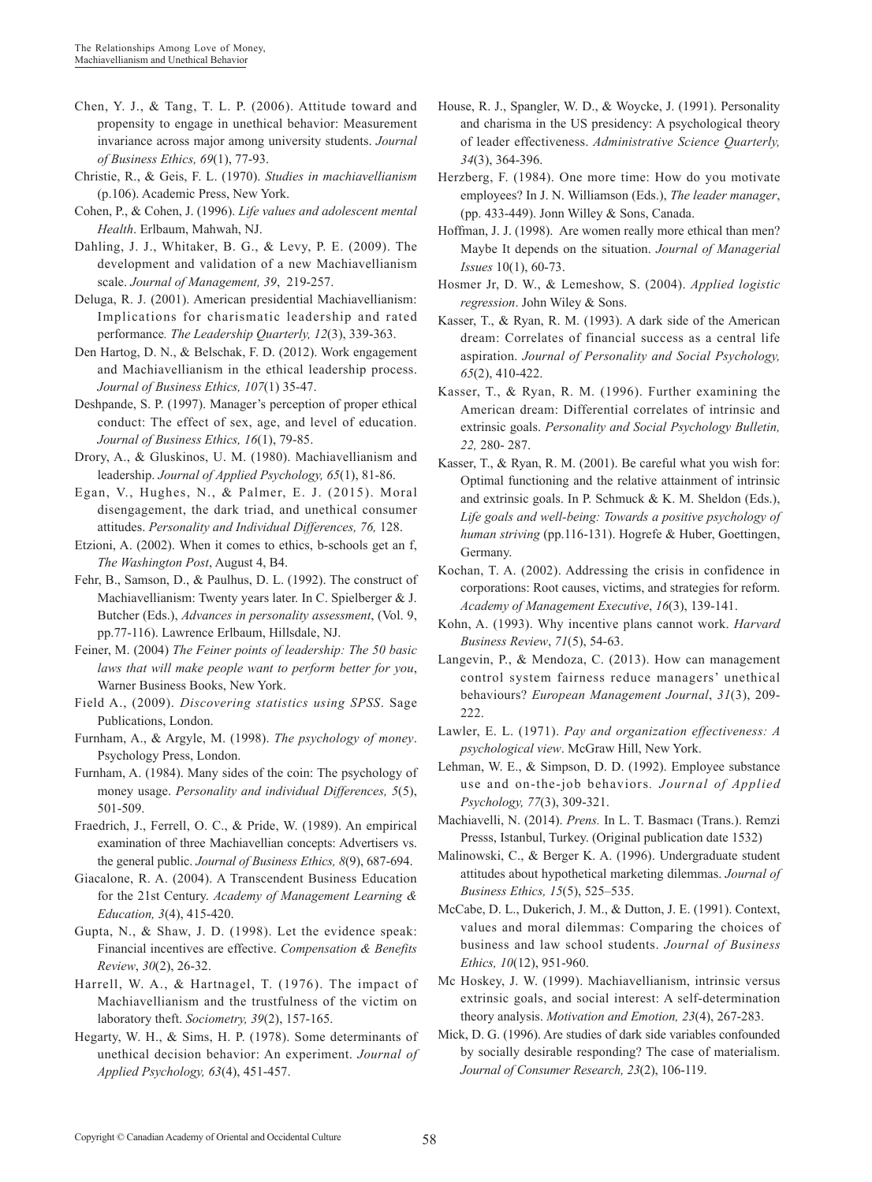- Chen, Y. J., & Tang, T. L. P. (2006). Attitude toward and propensity to engage in unethical behavior: Measurement invariance across major among university students. *Journal of Business Ethics, 69*(1), 77-93.
- Christie, R., & Geis, F. L. (1970). *Studies in machiavellianism* (p.106). Academic Press, New York.
- Cohen, P., & Cohen, J. (1996). *Life values and adolescent mental Health*. Erlbaum, Mahwah, NJ.
- Dahling, J. J., Whitaker, B. G., & Levy, P. E. (2009). The development and validation of a new Machiavellianism scale. *Journal of Management, 39*, 219-257.
- Deluga, R. J. (2001). American presidential Machiavellianism: Implications for charismatic leadership and rated performance*. The Leadership Quarterly, 12*(3), 339-363.
- Den Hartog, D. N., & Belschak, F. D. (2012). Work engagement and Machiavellianism in the ethical leadership process. *Journal of Business Ethics, 107*(1) 35-47.
- Deshpande, S. P. (1997). Manager's perception of proper ethical conduct: The effect of sex, age, and level of education. *Journal of Business Ethics, 16*(1), 79-85.
- Drory, A., & Gluskinos, U. M. (1980). Machiavellianism and leadership. *Journal of Applied Psychology, 65*(1), 81-86.
- Egan, V., Hughes, N., & Palmer, E. J. (2015). Moral disengagement, the dark triad, and unethical consumer attitudes. *Personality and Individual Differences, 76,* 128.
- Etzioni, A. (2002). When it comes to ethics, b-schools get an f, *The Washington Post*, August 4, B4.
- Fehr, B., Samson, D., & Paulhus, D. L. (1992). The construct of Machiavellianism: Twenty years later. In C. Spielberger & J. Butcher (Eds.), *Advances in personality assessment*, (Vol. 9, pp.77-116). Lawrence Erlbaum, Hillsdale, NJ.
- Feiner, M. (2004) *The Feiner points of leadership: The 50 basic laws that will make people want to perform better for you*, Warner Business Books, New York.
- Field A., (2009). *Discovering statistics using SPSS*. Sage Publications, London.
- Furnham, A., & Argyle, M. (1998). *The psychology of money*. Psychology Press, London.
- Furnham, A. (1984). Many sides of the coin: The psychology of money usage. *Personality and individual Differences, 5*(5), 501-509.
- Fraedrich, J., Ferrell, O. C., & Pride, W. (1989). An empirical examination of three Machiavellian concepts: Advertisers vs. the general public. *Journal of Business Ethics, 8*(9), 687-694.
- Giacalone, R. A. (2004). A Transcendent Business Education for the 21st Century. *Academy of Management Learning & Education, 3*(4), 415-420.
- Gupta, N., & Shaw, J. D. (1998). Let the evidence speak: Financial incentives are effective. *Compensation & Benefits Review*, *30*(2), 26-32.
- Harrell, W. A., & Hartnagel, T. (1976). The impact of Machiavellianism and the trustfulness of the victim on laboratory theft. *Sociometry, 39*(2), 157-165.
- Hegarty, W. H., & Sims, H. P. (1978). Some determinants of unethical decision behavior: An experiment. *Journal of Applied Psychology, 63*(4), 451-457.
- House, R. J., Spangler, W. D., & Woycke, J. (1991). Personality and charisma in the US presidency: A psychological theory of leader effectiveness. *Administrative Science Quarterly, 34*(3), 364-396.
- Herzberg, F. (1984). One more time: How do you motivate employees? In J. N. Williamson (Eds.), *The leader manager*, (pp. 433-449). Jonn Willey  $&$  Sons, Canada.
- Hoffman, J. J. (1998). Are women really more ethical than men? Maybe It depends on the situation. *Journal of Managerial Issues* 10(1), 60-73.
- Hosmer Jr, D. W., & Lemeshow, S. (2004). *Applied logistic regression*. John Wiley & Sons.
- Kasser, T., & Ryan, R. M. (1993). A dark side of the American dream: Correlates of financial success as a central life aspiration. *Journal of Personality and Social Psychology, 65*(2), 410-422.
- Kasser, T., & Ryan, R. M. (1996). Further examining the American dream: Differential correlates of intrinsic and extrinsic goals. *Personality and Social Psychology Bulletin, 22,* 280- 287.
- Kasser, T., & Ryan, R. M. (2001). Be careful what you wish for: Optimal functioning and the relative attainment of intrinsic and extrinsic goals. In P. Schmuck & K. M. Sheldon (Eds.), *Life goals and well-being: Towards a positive psychology of human striving* (pp.116-131). Hogrefe & Huber, Goettingen, Germany.
- Kochan, T. A. (2002). Addressing the crisis in confidence in corporations: Root causes, victims, and strategies for reform. *Academy of Management Executive*, *16*(3), 139-141.
- Kohn, A. (1993). Why incentive plans cannot work. *Harvard Business Review*, *71*(5), 54-63.
- Langevin, P., & Mendoza, C. (2013). How can management control system fairness reduce managers' unethical behaviours? *European Management Journal*, *31*(3), 209- 222.
- Lawler, E. L. (1971). *Pay and organization effectiveness: A psychological view*. McGraw Hill, New York.
- Lehman, W. E., & Simpson, D. D. (1992). Employee substance use and on-the-job behaviors*. Journal of Applied Psychology, 77*(3), 309-321.
- Machiavelli, N. (2014). *Prens.* In L. T. Basmacı (Trans.). Remzi Presss, Istanbul, Turkey. (Original publication date 1532)
- Malinowski, C., & Berger K. A. (1996). Undergraduate student attitudes about hypothetical marketing dilemmas. *Journal of Business Ethics, 15*(5), 525–535.
- McCabe, D. L., Dukerich, J. M., & Dutton, J. E. (1991). Context, values and moral dilemmas: Comparing the choices of business and law school students. *Journal of Business Ethics, 10*(12), 951-960.
- Mc Hoskey, J. W. (1999). Machiavellianism, intrinsic versus extrinsic goals, and social interest: A self-determination theory analysis. *Motivation and Emotion, 23*(4), 267-283.
- Mick, D. G. (1996). Are studies of dark side variables confounded by socially desirable responding? The case of materialism. *Journal of Consumer Research, 23*(2), 106-119.